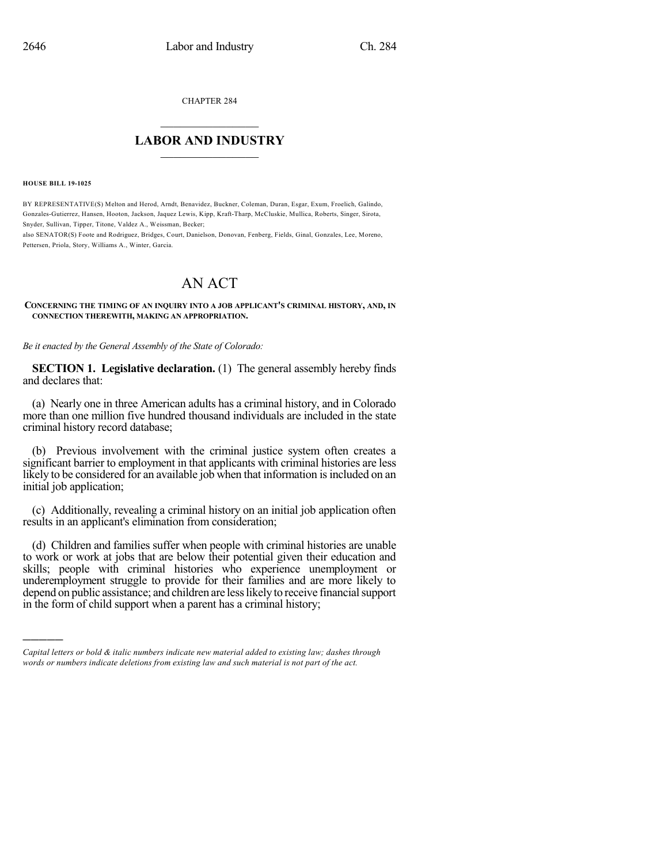CHAPTER 284

## $\overline{\phantom{a}}$  . The set of the set of the set of the set of the set of the set of the set of the set of the set of the set of the set of the set of the set of the set of the set of the set of the set of the set of the set o **LABOR AND INDUSTRY**  $\frac{1}{\sqrt{2}}$  ,  $\frac{1}{\sqrt{2}}$  ,  $\frac{1}{\sqrt{2}}$  ,  $\frac{1}{\sqrt{2}}$  ,  $\frac{1}{\sqrt{2}}$  ,  $\frac{1}{\sqrt{2}}$

**HOUSE BILL 19-1025**

)))))

BY REPRESENTATIVE(S) Melton and Herod, Arndt, Benavidez, Buckner, Coleman, Duran, Esgar, Exum, Froelich, Galindo, Gonzales-Gutierrez, Hansen, Hooton, Jackson, Jaquez Lewis, Kipp, Kraft-Tharp, McCluskie, Mullica, Roberts, Singer, Sirota, Snyder, Sullivan, Tipper, Titone, Valdez A., Weissman, Becker;

also SENATOR(S) Foote and Rodriguez, Bridges, Court, Danielson, Donovan, Fenberg, Fields, Ginal, Gonzales, Lee, Moreno, Pettersen, Priola, Story, Williams A., Winter, Garcia.

## AN ACT

**CONCERNING THE TIMING OF AN INQUIRY INTO A JOB APPLICANT'S CRIMINAL HISTORY, AND, IN CONNECTION THEREWITH, MAKING AN APPROPRIATION.**

*Be it enacted by the General Assembly of the State of Colorado:*

**SECTION 1. Legislative declaration.** (1) The general assembly hereby finds and declares that:

(a) Nearly one in three American adults has a criminal history, and in Colorado more than one million five hundred thousand individuals are included in the state criminal history record database;

(b) Previous involvement with the criminal justice system often creates a significant barrier to employment in that applicants with criminal histories are less likely to be considered for an available job when that information is included on an initial job application;

(c) Additionally, revealing a criminal history on an initial job application often results in an applicant's elimination from consideration;

(d) Children and families suffer when people with criminal histories are unable to work or work at jobs that are below their potential given their education and skills; people with criminal histories who experience unemployment or underemployment struggle to provide for their families and are more likely to depend on public assistance; and children are less likely to receive financial support in the form of child support when a parent has a criminal history;

*Capital letters or bold & italic numbers indicate new material added to existing law; dashes through words or numbers indicate deletions from existing law and such material is not part of the act.*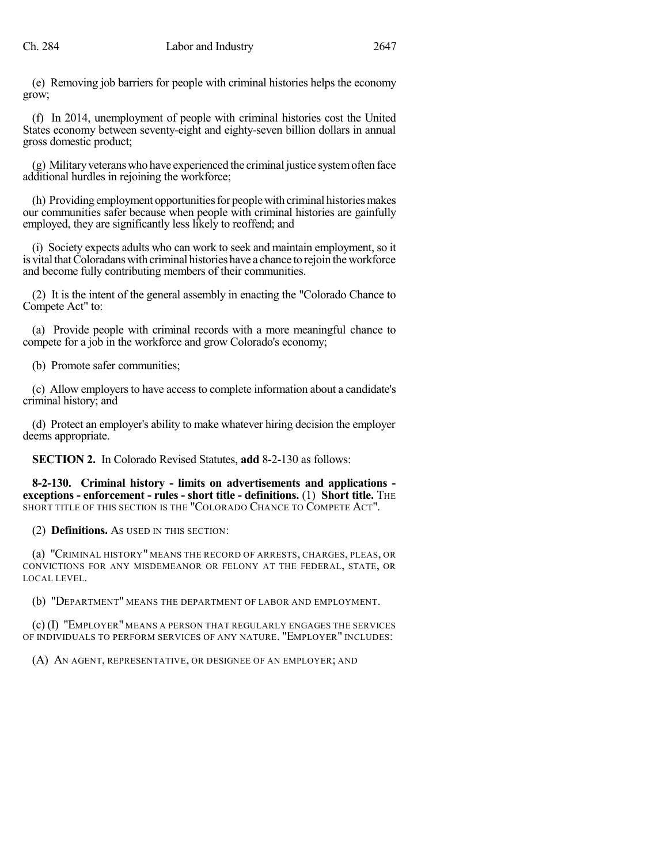(e) Removing job barriers for people with criminal histories helps the economy grow;

(f) In 2014, unemployment of people with criminal histories cost the United States economy between seventy-eight and eighty-seven billion dollars in annual gross domestic product;

(g) Militaryveteranswho have experienced the criminal justice systemoften face additional hurdles in rejoining the workforce;

(h) Providing employment opportunities for people with criminal histories makes our communities safer because when people with criminal histories are gainfully employed, they are significantly less likely to reoffend; and

(i) Society expects adults who can work to seek and maintain employment, so it is vital that Coloradans with criminal histories have a chance to rejoin the workforce and become fully contributing members of their communities.

(2) It is the intent of the general assembly in enacting the "Colorado Chance to Compete Act" to:

(a) Provide people with criminal records with a more meaningful chance to compete for a job in the workforce and grow Colorado's economy;

(b) Promote safer communities;

(c) Allow employersto have access to complete information about a candidate's criminal history; and

(d) Protect an employer's ability to make whatever hiring decision the employer deems appropriate.

**SECTION 2.** In Colorado Revised Statutes, **add** 8-2-130 as follows:

**8-2-130. Criminal history - limits on advertisements and applications exceptions - enforcement - rules - short title - definitions.** (1) **Short title.** THE SHORT TITLE OF THIS SECTION IS THE "COLORADO CHANCE TO COMPETE ACT".

(2) **Definitions.** AS USED IN THIS SECTION:

(a) "CRIMINAL HISTORY" MEANS THE RECORD OF ARRESTS, CHARGES, PLEAS, OR CONVICTIONS FOR ANY MISDEMEANOR OR FELONY AT THE FEDERAL, STATE, OR LOCAL LEVEL.

(b) "DEPARTMENT" MEANS THE DEPARTMENT OF LABOR AND EMPLOYMENT.

(c) (I) "EMPLOYER" MEANS A PERSON THAT REGULARLY ENGAGES THE SERVICES OF INDIVIDUALS TO PERFORM SERVICES OF ANY NATURE. "EMPLOYER" INCLUDES:

(A) AN AGENT, REPRESENTATIVE, OR DESIGNEE OF AN EMPLOYER; AND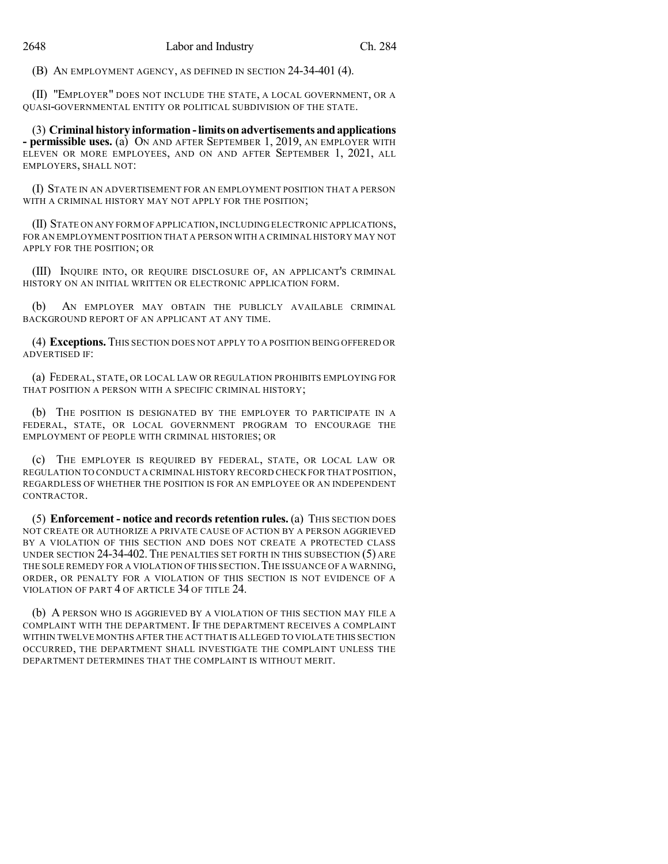(B) AN EMPLOYMENT AGENCY, AS DEFINED IN SECTION 24-34-401 (4).

(II) "EMPLOYER" DOES NOT INCLUDE THE STATE, A LOCAL GOVERNMENT, OR A QUASI-GOVERNMENTAL ENTITY OR POLITICAL SUBDIVISION OF THE STATE.

(3) **Criminal history information -limits onadvertisements andapplications - permissible uses.** (a) ON AND AFTER SEPTEMBER 1, 2019, AN EMPLOYER WITH ELEVEN OR MORE EMPLOYEES, AND ON AND AFTER SEPTEMBER 1, 2021, ALL EMPLOYERS, SHALL NOT:

(I) STATE IN AN ADVERTISEMENT FOR AN EMPLOYMENT POSITION THAT A PERSON WITH A CRIMINAL HISTORY MAY NOT APPLY FOR THE POSITION;

(II) STATE ON ANY FORM OF APPLICATION,INCLUDING ELECTRONIC APPLICATIONS, FOR AN EMPLOYMENT POSITION THAT A PERSON WITH A CRIMINAL HISTORY MAY NOT APPLY FOR THE POSITION; OR

(III) INQUIRE INTO, OR REQUIRE DISCLOSURE OF, AN APPLICANT'S CRIMINAL HISTORY ON AN INITIAL WRITTEN OR ELECTRONIC APPLICATION FORM.

(b) AN EMPLOYER MAY OBTAIN THE PUBLICLY AVAILABLE CRIMINAL BACKGROUND REPORT OF AN APPLICANT AT ANY TIME.

(4) **Exceptions.** THIS SECTION DOES NOT APPLY TO A POSITION BEING OFFERED OR ADVERTISED IF:

(a) FEDERAL, STATE, OR LOCAL LAW OR REGULATION PROHIBITS EMPLOYING FOR THAT POSITION A PERSON WITH A SPECIFIC CRIMINAL HISTORY;

(b) THE POSITION IS DESIGNATED BY THE EMPLOYER TO PARTICIPATE IN A FEDERAL, STATE, OR LOCAL GOVERNMENT PROGRAM TO ENCOURAGE THE EMPLOYMENT OF PEOPLE WITH CRIMINAL HISTORIES; OR

(c) THE EMPLOYER IS REQUIRED BY FEDERAL, STATE, OR LOCAL LAW OR REGULATION TO CONDUCT A CRIMINAL HISTORY RECORD CHECK FOR THAT POSITION, REGARDLESS OF WHETHER THE POSITION IS FOR AN EMPLOYEE OR AN INDEPENDENT CONTRACTOR.

(5) **Enforcement - notice and records retention rules.** (a) THIS SECTION DOES NOT CREATE OR AUTHORIZE A PRIVATE CAUSE OF ACTION BY A PERSON AGGRIEVED BY A VIOLATION OF THIS SECTION AND DOES NOT CREATE A PROTECTED CLASS UNDER SECTION 24-34-402.THE PENALTIES SET FORTH IN THIS SUBSECTION (5) ARE THE SOLE REMEDY FOR A VIOLATION OF THIS SECTION. THE ISSUANCE OF A WARNING, ORDER, OR PENALTY FOR A VIOLATION OF THIS SECTION IS NOT EVIDENCE OF A VIOLATION OF PART 4 OF ARTICLE 34 OF TITLE 24.

(b) A PERSON WHO IS AGGRIEVED BY A VIOLATION OF THIS SECTION MAY FILE A COMPLAINT WITH THE DEPARTMENT. IF THE DEPARTMENT RECEIVES A COMPLAINT WITHIN TWELVE MONTHS AFTER THE ACT THAT IS ALLEGED TO VIOLATE THIS SECTION OCCURRED, THE DEPARTMENT SHALL INVESTIGATE THE COMPLAINT UNLESS THE DEPARTMENT DETERMINES THAT THE COMPLAINT IS WITHOUT MERIT.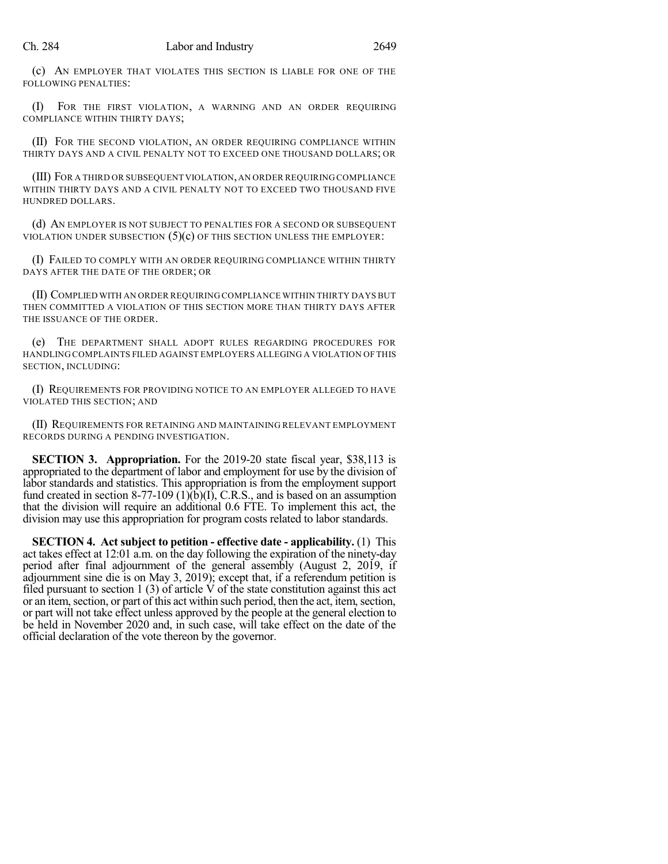(c) AN EMPLOYER THAT VIOLATES THIS SECTION IS LIABLE FOR ONE OF THE FOLLOWING PENALTIES:

(I) FOR THE FIRST VIOLATION, A WARNING AND AN ORDER REQUIRING COMPLIANCE WITHIN THIRTY DAYS;

(II) FOR THE SECOND VIOLATION, AN ORDER REQUIRING COMPLIANCE WITHIN THIRTY DAYS AND A CIVIL PENALTY NOT TO EXCEED ONE THOUSAND DOLLARS; OR

(III) FOR A THIRD OR SUBSEQUENT VIOLATION,AN ORDER REQUIRING COMPLIANCE WITHIN THIRTY DAYS AND A CIVIL PENALTY NOT TO EXCEED TWO THOUSAND FIVE HUNDRED DOLLARS.

(d) AN EMPLOYER IS NOT SUBJECT TO PENALTIES FOR A SECOND OR SUBSEQUENT VIOLATION UNDER SUBSECTION  $(5)(c)$  OF THIS SECTION UNLESS THE EMPLOYER:

(I) FAILED TO COMPLY WITH AN ORDER REQUIRING COMPLIANCE WITHIN THIRTY DAYS AFTER THE DATE OF THE ORDER; OR

(II) COMPLIED WITH AN ORDER REQUIRING COMPLIANCE WITHIN THIRTY DAYS BUT THEN COMMITTED A VIOLATION OF THIS SECTION MORE THAN THIRTY DAYS AFTER THE ISSUANCE OF THE ORDER.

(e) THE DEPARTMENT SHALL ADOPT RULES REGARDING PROCEDURES FOR HANDLING COMPLAINTS FILED AGAINST EMPLOYERS ALLEGING A VIOLATION OF THIS SECTION, INCLUDING:

(I) REQUIREMENTS FOR PROVIDING NOTICE TO AN EMPLOYER ALLEGED TO HAVE VIOLATED THIS SECTION; AND

(II) REQUIREMENTS FOR RETAINING AND MAINTAINING RELEVANT EMPLOYMENT RECORDS DURING A PENDING INVESTIGATION.

**SECTION 3. Appropriation.** For the 2019-20 state fiscal year, \$38,113 is appropriated to the department of labor and employment for use by the division of labor standards and statistics. This appropriation is from the employment support fund created in section 8-77-109 (1)(b)(I), C.R.S., and is based on an assumption that the division will require an additional 0.6 FTE. To implement this act, the division may use this appropriation for program costs related to labor standards.

**SECTION 4. Act subject to petition - effective date - applicability.** (1) This act takes effect at 12:01 a.m. on the day following the expiration of the ninety-day period after final adjournment of the general assembly (August 2, 2019, if adjournment sine die is on May 3, 2019); except that, if a referendum petition is filed pursuant to section  $1(3)$  of article V of the state constitution against this act or an item, section, or part of this act within such period, then the act, item, section, or part will not take effect unless approved by the people at the general election to be held in November 2020 and, in such case, will take effect on the date of the official declaration of the vote thereon by the governor.